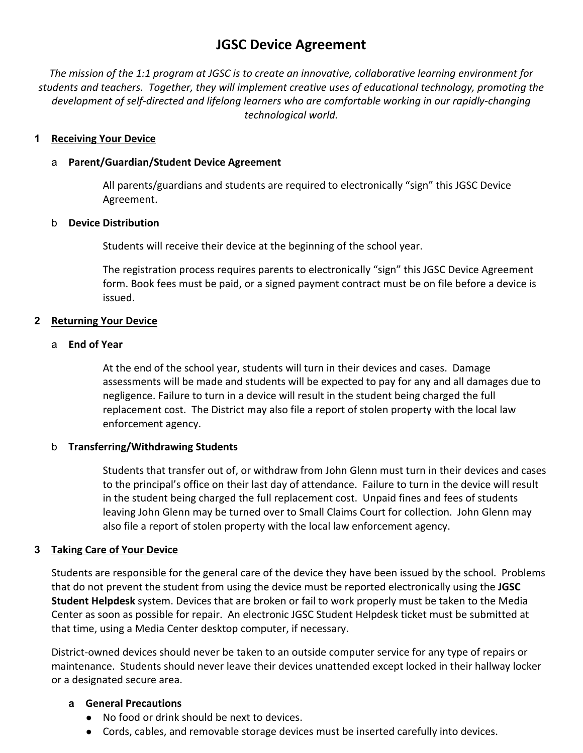# **JGSC Device Agreement**

*The mission of the 1:1 program at JGSC is to create an innovative, collaborative learning environment for students and teachers. Together, they will implement creative uses of educational technology, promoting the development of self‐directed and lifelong learners who are comfortable working in our rapidly‐changing technological world.* 

#### **1 Receiving Your Device**

#### a **Parent/Guardian/Student Device Agreement**

All parents/guardians and students are required to electronically "sign" this JGSC Device Agreement.

#### b **Device Distribution**

Students will receive their device at the beginning of the school year.

The registration process requires parents to electronically "sign" this JGSC Device Agreement form. Book fees must be paid, or a signed payment contract must be on file before a device is issued.

#### **2 Returning Your Device**

#### a **End of Year**

At the end of the school year, students will turn in their devices and cases. Damage assessments will be made and students will be expected to pay for any and all damages due to negligence. Failure to turn in a device will result in the student being charged the full replacement cost. The District may also file a report of stolen property with the local law enforcement agency.

#### b **Transferring/Withdrawing Students**

Students that transfer out of, or withdraw from John Glenn must turn in their devices and cases to the principal's office on their last day of attendance. Failure to turn in the device will result in the student being charged the full replacement cost. Unpaid fines and fees of students leaving John Glenn may be turned over to Small Claims Court for collection. John Glenn may also file a report of stolen property with the local law enforcement agency.

#### **3 Taking Care of Your Device**

Students are responsible for the general care of the device they have been issued by the school. Problems that do not prevent the student from using the device must be reported electronically using the **JGSC Student Helpdesk** system. Devices that are broken or fail to work properly must be taken to the Media Center as soon as possible for repair. An electronic JGSC Student Helpdesk ticket must be submitted at that time, using a Media Center desktop computer, if necessary.

District‐owned devices should never be taken to an outside computer service for any type of repairs or maintenance. Students should never leave their devices unattended except locked in their hallway locker or a designated secure area.

#### **a General Precautions**

- No food or drink should be next to devices.
- Cords, cables, and removable storage devices must be inserted carefully into devices.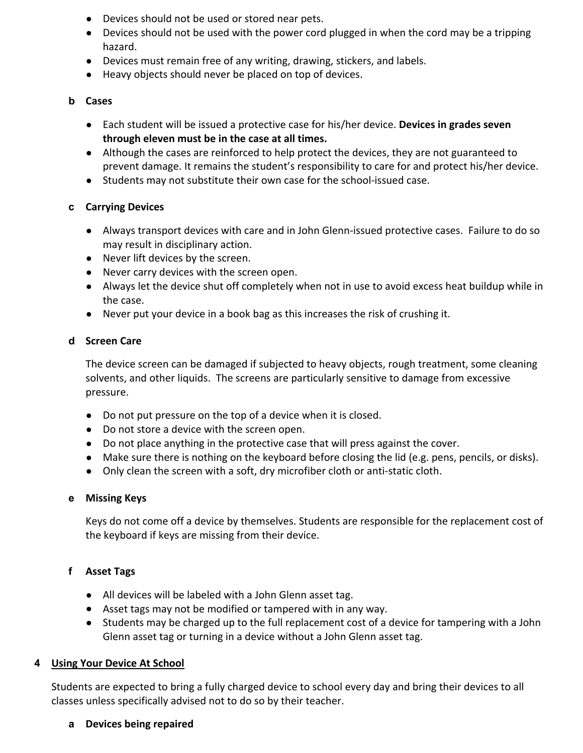- Devices should not be used or stored near pets.
- Devices should not be used with the power cord plugged in when the cord may be a tripping hazard.
- Devices must remain free of any writing, drawing, stickers, and labels.
- Heavy objects should never be placed on top of devices.

#### **b Cases**

- Each student will be issued a protective case for his/her device. **Devices in grades seven through eleven must be in the case at all times.**
- Although the cases are reinforced to help protect the devices, they are not guaranteed to prevent damage. It remains the student's responsibility to care for and protect his/her device.
- Students may not substitute their own case for the school-issued case.

## **c Carrying Devices**

- Always transport devices with care and in John Glenn-issued protective cases. Failure to do so may result in disciplinary action.
- Never lift devices by the screen.
- Never carry devices with the screen open.
- Always let the device shut off completely when not in use to avoid excess heat buildup while in the case.
- Never put your device in a book bag as this increases the risk of crushing it.

#### **d Screen Care**

The device screen can be damaged if subjected to heavy objects, rough treatment, some cleaning solvents, and other liquids. The screens are particularly sensitive to damage from excessive pressure.

- Do not put pressure on the top of a device when it is closed.
- Do not store a device with the screen open.
- Do not place anything in the protective case that will press against the cover.
- Make sure there is nothing on the keyboard before closing the lid (e.g. pens, pencils, or disks).
- Only clean the screen with a soft, dry microfiber cloth or anti-static cloth.

## **e Missing Keys**

Keys do not come off a device by themselves. Students are responsible for the replacement cost of the keyboard if keys are missing from their device.

## **f Asset Tags**

- All devices will be labeled with a John Glenn asset tag.
- Asset tags may not be modified or tampered with in any way.
- Students may be charged up to the full replacement cost of a device for tampering with a John Glenn asset tag or turning in a device without a John Glenn asset tag.

## **4 Using Your Device At School**

Students are expected to bring a fully charged device to school every day and bring their devices to all classes unless specifically advised not to do so by their teacher.

**a Devices being repaired**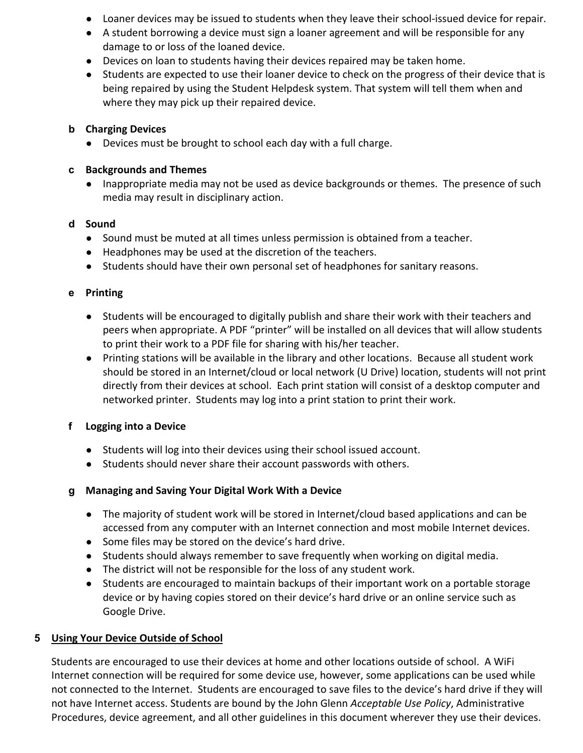- Loaner devices may be issued to students when they leave their school-issued device for repair.
- A student borrowing a device must sign a loaner agreement and will be responsible for any damage to or loss of the loaned device.
- Devices on loan to students having their devices repaired may be taken home.
- Students are expected to use their loaner device to check on the progress of their device that is being repaired by using the Student Helpdesk system. That system will tell them when and where they may pick up their repaired device.

## **b Charging Devices**

● Devices must be brought to school each day with a full charge.

## **c Backgrounds and Themes**

● Inappropriate media may not be used as device backgrounds or themes. The presence of such media may result in disciplinary action.

## **d Sound**

- Sound must be muted at all times unless permission is obtained from a teacher.
- Headphones may be used at the discretion of the teachers.
- Students should have their own personal set of headphones for sanitary reasons.

## **e Printing**

- Students will be encouraged to digitally publish and share their work with their teachers and peers when appropriate. A PDF "printer" will be installed on all devices that will allow students to print their work to a PDF file for sharing with his/her teacher.
- Printing stations will be available in the library and other locations. Because all student work should be stored in an Internet/cloud or local network (U Drive) location, students will not print directly from their devices at school. Each print station will consist of a desktop computer and networked printer. Students may log into a print station to print their work.

## **f Logging into a Device**

- Students will log into their devices using their school issued account.
- Students should never share their account passwords with others.

## **g Managing and Saving Your Digital Work With a Device**

- The majority of student work will be stored in Internet/cloud based applications and can be accessed from any computer with an Internet connection and most mobile Internet devices.
- Some files may be stored on the device's hard drive.
- Students should always remember to save frequently when working on digital media.
- The district will not be responsible for the loss of any student work.
- Students are encouraged to maintain backups of their important work on a portable storage device or by having copies stored on their device's hard drive or an online service such as Google Drive.

## **5 Using Your Device Outside of School**

Students are encouraged to use their devices at home and other locations outside of school. A WiFi Internet connection will be required for some device use, however, some applications can be used while not connected to the Internet. Students are encouraged to save files to the device's hard drive if they will not have Internet access. Students are bound by the John Glenn *Acceptable Use Policy*, Administrative Procedures, device agreement, and all other guidelines in this document wherever they use their devices.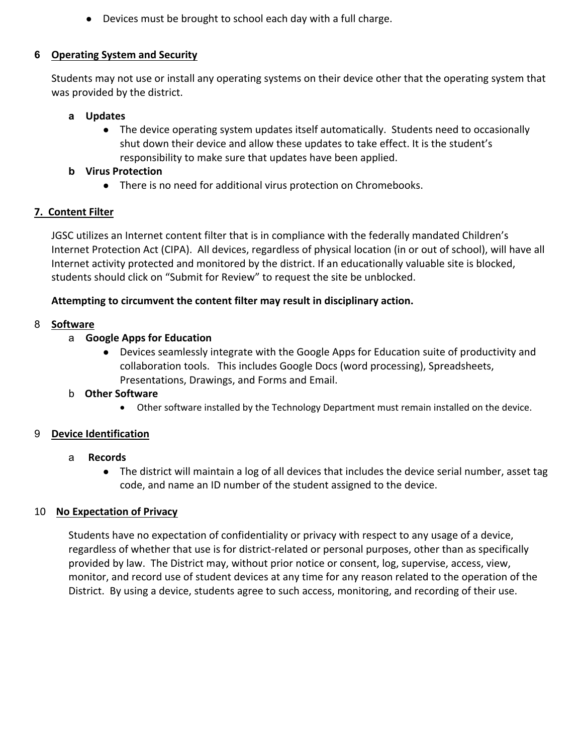● Devices must be brought to school each day with a full charge.

## **6 Operating System and Security**

Students may not use or install any operating systems on their device other that the operating system that was provided by the district.

#### **a Updates**

● The device operating system updates itself automatically. Students need to occasionally shut down their device and allow these updates to take effect. It is the student's responsibility to make sure that updates have been applied.

#### **b Virus Protection**

● There is no need for additional virus protection on Chromebooks.

## **7. Content Filter**

JGSC utilizes an Internet content filter that is in compliance with the federally mandated Children's Internet Protection Act (CIPA). All devices, regardless of physical location (in or out of school), will have all Internet activity protected and monitored by the district. If an educationally valuable site is blocked, students should click on "Submit for Review" to request the site be unblocked.

## **Attempting to circumvent the content filter may result in disciplinary action.**

## 8 **Software**

## a **Google Apps for Education**

● Devices seamlessly integrate with the Google Apps for Education suite of productivity and collaboration tools. This includes Google Docs (word processing), Spreadsheets, Presentations, Drawings, and Forms and Email.

## b **Other Software**

Other software installed by the Technology Department must remain installed on the device.

## 9 **Device Identification**

## a  **Records**

● The district will maintain a log of all devices that includes the device serial number, asset tag code, and name an ID number of the student assigned to the device.

## 10 **No Expectation of Privacy**

Students have no expectation of confidentiality or privacy with respect to any usage of a device, regardless of whether that use is for district‐related or personal purposes, other than as specifically provided by law. The District may, without prior notice or consent, log, supervise, access, view, monitor, and record use of student devices at any time for any reason related to the operation of the District. By using a device, students agree to such access, monitoring, and recording of their use.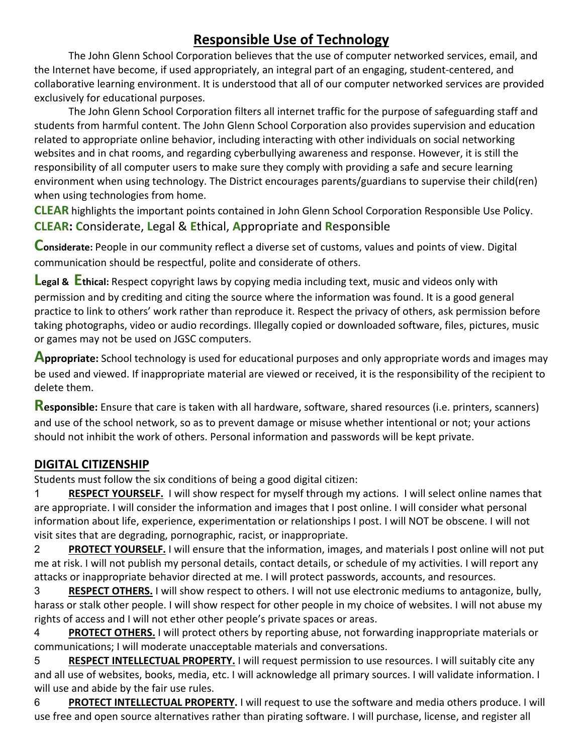# **Responsible Use of Technology**

The John Glenn School Corporation believes that the use of computer networked services, email, and the Internet have become, if used appropriately, an integral part of an engaging, student‐centered, and collaborative learning environment. It is understood that all of our computer networked services are provided exclusively for educational purposes.

The John Glenn School Corporation filters all internet traffic for the purpose of safeguarding staff and students from harmful content. The John Glenn School Corporation also provides supervision and education related to appropriate online behavior, including interacting with other individuals on social networking websites and in chat rooms, and regarding cyberbullying awareness and response. However, it is still the responsibility of all computer users to make sure they comply with providing a safe and secure learning environment when using technology. The District encourages parents/guardians to supervise their child(ren) when using technologies from home.

**CLEAR** highlights the important points contained in John Glenn School Corporation Responsible Use Policy. **CLEAR: C**onsiderate, **L**egal & **E**thical, **A**ppropriate and **R**esponsible

**Considerate:** People in our community reflect a diverse set of customs, values and points of view. Digital communication should be respectful, polite and considerate of others.

**Legal & Ethical:** Respect copyright laws by copying media including text, music and videos only with permission and by crediting and citing the source where the information was found. It is a good general practice to link to others' work rather than reproduce it. Respect the privacy of others, ask permission before taking photographs, video or audio recordings. Illegally copied or downloaded software, files, pictures, music or games may not be used on JGSC computers.

**Appropriate:** School technology is used for educational purposes and only appropriate words and images may be used and viewed. If inappropriate material are viewed or received, it is the responsibility of the recipient to delete them.

**Responsible:** Ensure that care is taken with all hardware, software, shared resources (i.e. printers, scanners) and use of the school network, so as to prevent damage or misuse whether intentional or not; your actions should not inhibit the work of others. Personal information and passwords will be kept private.

## **DIGITAL CITIZENSHIP**

Students must follow the six conditions of being a good digital citizen:

1 **RESPECT YOURSELF.** I will show respect for myself through my actions. I will select online names that are appropriate. I will consider the information and images that I post online. I will consider what personal information about life, experience, experimentation or relationships I post. I will NOT be obscene. I will not visit sites that are degrading, pornographic, racist, or inappropriate.

2 **PROTECT YOURSELF.** I will ensure that the information, images, and materials I post online will not put me at risk. I will not publish my personal details, contact details, or schedule of my activities. I will report any attacks or inappropriate behavior directed at me. I will protect passwords, accounts, and resources.

3 **RESPECT OTHERS.** I will show respect to others. I will not use electronic mediums to antagonize, bully, harass or stalk other people. I will show respect for other people in my choice of websites. I will not abuse my rights of access and I will not ether other people's private spaces or areas.

4 **PROTECT OTHERS.** I will protect others by reporting abuse, not forwarding inappropriate materials or communications; I will moderate unacceptable materials and conversations.

5 **RESPECT INTELLECTUAL PROPERTY.** I will request permission to use resources. I will suitably cite any and all use of websites, books, media, etc. I will acknowledge all primary sources. I will validate information. I will use and abide by the fair use rules.

6 **PROTECT INTELLECTUAL PROPERTY.** I will request to use the software and media others produce. I will use free and open source alternatives rather than pirating software. I will purchase, license, and register all